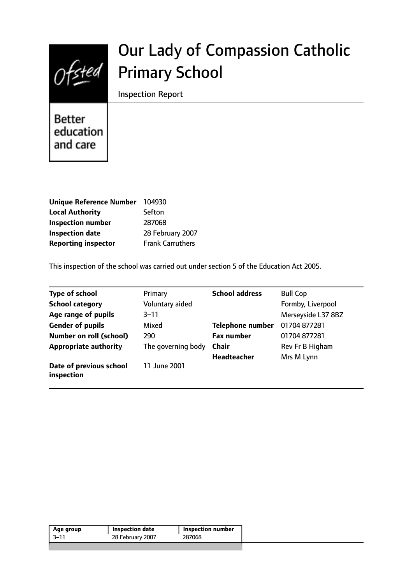

# Our Lady of Compassion Catholic Primary School

Inspection Report

**Better** education and care

| <b>Unique Reference Number</b> | 104930                  |
|--------------------------------|-------------------------|
| <b>Local Authority</b>         | Sefton                  |
| <b>Inspection number</b>       | 287068                  |
| <b>Inspection date</b>         | 28 February 2007        |
| <b>Reporting inspector</b>     | <b>Frank Carruthers</b> |

This inspection of the school was carried out under section 5 of the Education Act 2005.

| <b>Type of school</b>                 | Primary            | <b>School address</b>   | <b>Bull Cop</b>    |
|---------------------------------------|--------------------|-------------------------|--------------------|
| <b>School category</b>                | Voluntary aided    |                         | Formby, Liverpool  |
| Age range of pupils                   | $3 - 11$           |                         | Merseyside L37 8BZ |
| <b>Gender of pupils</b>               | Mixed              | <b>Telephone number</b> | 01704 877281       |
| <b>Number on roll (school)</b>        | 290                | <b>Fax number</b>       | 01704 877281       |
| <b>Appropriate authority</b>          | The governing body | <b>Chair</b>            | Rev Fr B Higham    |
|                                       |                    | Headteacher             | Mrs M Lynn         |
| Date of previous school<br>inspection | 11 June 2001       |                         |                    |

| 28 February 2007<br>-3–11<br>287068 | Age group | Inspection date | <b>Inspection number</b> |
|-------------------------------------|-----------|-----------------|--------------------------|
|                                     |           |                 |                          |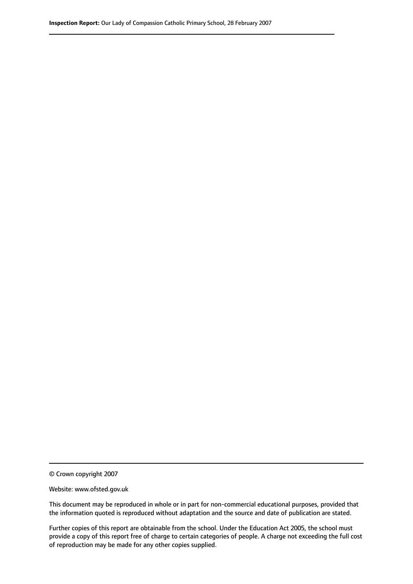© Crown copyright 2007

Website: www.ofsted.gov.uk

This document may be reproduced in whole or in part for non-commercial educational purposes, provided that the information quoted is reproduced without adaptation and the source and date of publication are stated.

Further copies of this report are obtainable from the school. Under the Education Act 2005, the school must provide a copy of this report free of charge to certain categories of people. A charge not exceeding the full cost of reproduction may be made for any other copies supplied.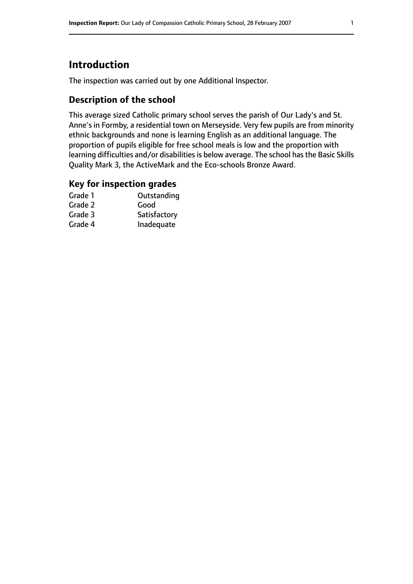# **Introduction**

The inspection was carried out by one Additional Inspector.

## **Description of the school**

This average sized Catholic primary school serves the parish of Our Lady's and St. Anne's in Formby, a residential town on Merseyside. Very few pupils are from minority ethnic backgrounds and none is learning English as an additional language. The proportion of pupils eligible for free school meals is low and the proportion with learning difficulties and/or disabilities is below average. The school has the Basic Skills Quality Mark 3, the ActiveMark and the Eco-schools Bronze Award.

## **Key for inspection grades**

| Grade 1 | Outstanding  |
|---------|--------------|
| Grade 2 | Good         |
| Grade 3 | Satisfactory |
| Grade 4 | Inadequate   |
|         |              |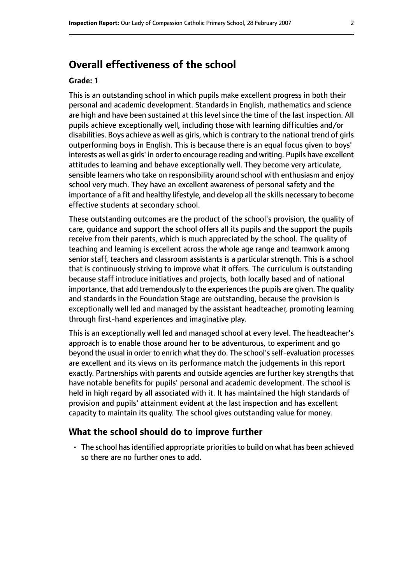# **Overall effectiveness of the school**

#### **Grade: 1**

This is an outstanding school in which pupils make excellent progress in both their personal and academic development. Standards in English, mathematics and science are high and have been sustained at this level since the time of the last inspection. All pupils achieve exceptionally well, including those with learning difficulties and/or disabilities. Boys achieve as well as girls, which is contrary to the national trend of girls outperforming boys in English. This is because there is an equal focus given to boys' interests as well as girls' in order to encourage reading and writing. Pupils have excellent attitudes to learning and behave exceptionally well. They become very articulate, sensible learners who take on responsibility around school with enthusiasm and enjoy school very much. They have an excellent awareness of personal safety and the importance of a fit and healthy lifestyle, and develop all the skills necessary to become effective students at secondary school.

These outstanding outcomes are the product of the school's provision, the quality of care, guidance and support the school offers all its pupils and the support the pupils receive from their parents, which is much appreciated by the school. The quality of teaching and learning is excellent across the whole age range and teamwork among senior staff, teachers and classroom assistants is a particular strength. This is a school that is continuously striving to improve what it offers. The curriculum is outstanding because staff introduce initiatives and projects, both locally based and of national importance, that add tremendously to the experiences the pupils are given. The quality and standards in the Foundation Stage are outstanding, because the provision is exceptionally well led and managed by the assistant headteacher, promoting learning through first-hand experiences and imaginative play.

This is an exceptionally well led and managed school at every level. The headteacher's approach is to enable those around her to be adventurous, to experiment and go beyond the usual in order to enrich what they do. The school'sself-evaluation processes are excellent and its views on its performance match the judgements in this report exactly. Partnerships with parents and outside agencies are further key strengths that have notable benefits for pupils' personal and academic development. The school is held in high regard by all associated with it. It has maintained the high standards of provision and pupils' attainment evident at the last inspection and has excellent capacity to maintain its quality. The school gives outstanding value for money.

#### **What the school should do to improve further**

• The school hasidentified appropriate prioritiesto build on what has been achieved so there are no further ones to add.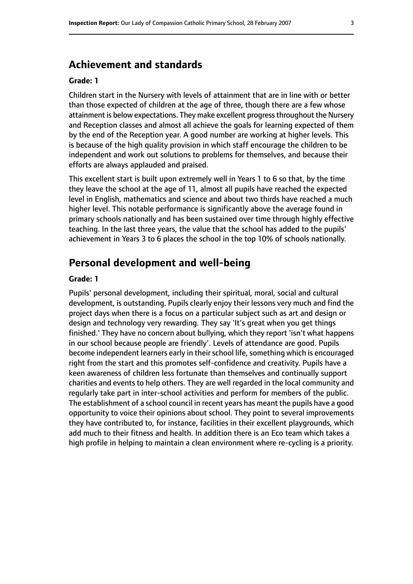# **Achievement and standards**

#### **Grade: 1**

Children start in the Nursery with levels of attainment that are in line with or better than those expected of children at the age of three, though there are a few whose attainment is below expectations. They make excellent progress throughout the Nursery and Reception classes and almost all achieve the goals for learning expected of them by the end of the Reception year. A good number are working at higher levels. This is because of the high quality provision in which staff encourage the children to be independent and work out solutions to problems for themselves, and because their efforts are always applauded and praised.

This excellent start is built upon extremely well in Years 1 to 6 so that, by the time they leave the school at the age of 11, almost all pupils have reached the expected level in English, mathematics and science and about two thirds have reached a much higher level. This notable performance is significantly above the average found in primary schools nationally and has been sustained over time through highly effective teaching. In the last three years, the value that the school has added to the pupils' achievement in Years 3 to 6 places the school in the top 10% of schools nationally.

## **Personal development and well-being**

#### **Grade: 1**

Pupils' personal development, including their spiritual, moral, social and cultural development, is outstanding. Pupils clearly enjoy their lessons very much and find the project days when there is a focus on a particular subject such as art and design or design and technology very rewarding. They say 'It's great when you get things finished.' They have no concern about bullying, which they report 'isn't what happens in our school because people are friendly'. Levels of attendance are good. Pupils become independent learners early in their school life, something which is encouraged right from the start and this promotes self-confidence and creativity. Pupils have a keen awareness of children less fortunate than themselves and continually support charities and events to help others. They are well regarded in the local community and regularly take part in inter-school activities and perform for members of the public. The establishment of a school council in recent years has meant the pupils have a good opportunity to voice their opinions about school. They point to several improvements they have contributed to, for instance, facilities in their excellent playgrounds, which add much to their fitness and health. In addition there is an Eco team which takes a high profile in helping to maintain a clean environment where re-cycling is a priority.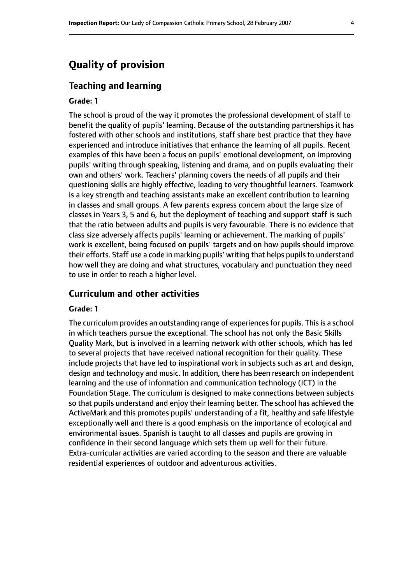# **Quality of provision**

#### **Teaching and learning**

#### **Grade: 1**

The school is proud of the way it promotes the professional development of staff to benefit the quality of pupils' learning. Because of the outstanding partnerships it has fostered with other schools and institutions, staff share best practice that they have experienced and introduce initiatives that enhance the learning of all pupils. Recent examples of this have been a focus on pupils' emotional development, on improving pupils' writing through speaking, listening and drama, and on pupils evaluating their own and others' work. Teachers' planning covers the needs of all pupils and their questioning skills are highly effective, leading to very thoughtful learners. Teamwork is a key strength and teaching assistants make an excellent contribution to learning in classes and small groups. A few parents express concern about the large size of classes in Years 3, 5 and 6, but the deployment of teaching and support staff is such that the ratio between adults and pupils is very favourable. There is no evidence that class size adversely affects pupils' learning or achievement. The marking of pupils' work is excellent, being focused on pupils' targets and on how pupils should improve their efforts. Staff use a code in marking pupils' writing that helps pupils to understand how well they are doing and what structures, vocabulary and punctuation they need to use in order to reach a higher level.

#### **Curriculum and other activities**

#### **Grade: 1**

The curriculum provides an outstanding range of experiences for pupils. This is a school in which teachers pursue the exceptional. The school has not only the Basic Skills Quality Mark, but is involved in a learning network with other schools, which has led to several projects that have received national recognition for their quality. These include projects that have led to inspirational work in subjects such as art and design, design and technology and music. In addition, there has been research on independent learning and the use of information and communication technology (ICT) in the Foundation Stage. The curriculum is designed to make connections between subjects so that pupils understand and enjoy their learning better. The school has achieved the ActiveMark and this promotes pupils' understanding of a fit, healthy and safe lifestyle exceptionally well and there is a good emphasis on the importance of ecological and environmental issues. Spanish is taught to all classes and pupils are growing in confidence in their second language which sets them up well for their future. Extra-curricular activities are varied according to the season and there are valuable residential experiences of outdoor and adventurous activities.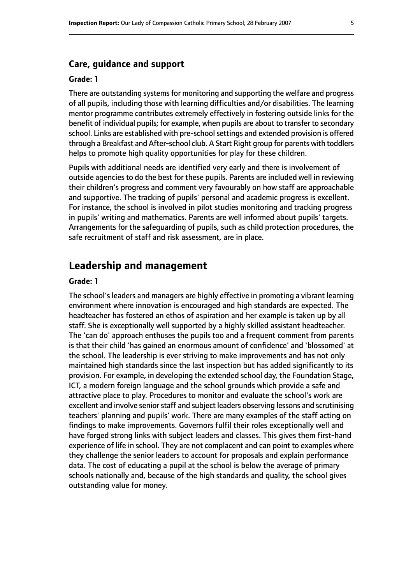#### **Care, guidance and support**

#### **Grade: 1**

There are outstanding systems for monitoring and supporting the welfare and progress of all pupils, including those with learning difficulties and/or disabilities. The learning mentor programme contributes extremely effectively in fostering outside links for the benefit of individual pupils; for example, when pupils are about to transfer to secondary school. Links are established with pre-school settings and extended provision is offered through a Breakfast and After-school club. A Start Right group for parents with toddlers helps to promote high quality opportunities for play for these children.

Pupils with additional needs are identified very early and there is involvement of outside agencies to do the best for these pupils. Parents are included well in reviewing their children's progress and comment very favourably on how staff are approachable and supportive. The tracking of pupils' personal and academic progress is excellent. For instance, the school is involved in pilot studies monitoring and tracking progress in pupils' writing and mathematics. Parents are well informed about pupils' targets. Arrangements for the safeguarding of pupils, such as child protection procedures, the safe recruitment of staff and risk assessment, are in place.

## **Leadership and management**

#### **Grade: 1**

The school's leaders and managers are highly effective in promoting a vibrant learning environment where innovation is encouraged and high standards are expected. The headteacher has fostered an ethos of aspiration and her example is taken up by all staff. She is exceptionally well supported by a highly skilled assistant headteacher. The 'can do' approach enthuses the pupils too and a frequent comment from parents is that their child 'has gained an enormous amount of confidence' and 'blossomed' at the school. The leadership is ever striving to make improvements and has not only maintained high standards since the last inspection but has added significantly to its provision. For example, in developing the extended school day, the Foundation Stage, ICT, a modern foreign language and the school grounds which provide a safe and attractive place to play. Procedures to monitor and evaluate the school's work are excellent and involve senior staff and subject leaders observing lessons and scrutinising teachers' planning and pupils' work. There are many examples of the staff acting on findings to make improvements. Governors fulfil their roles exceptionally well and have forged strong links with subject leaders and classes. This gives them first-hand experience of life in school. They are not complacent and can point to examples where they challenge the senior leaders to account for proposals and explain performance data. The cost of educating a pupil at the school is below the average of primary schools nationally and, because of the high standards and quality, the school gives outstanding value for money.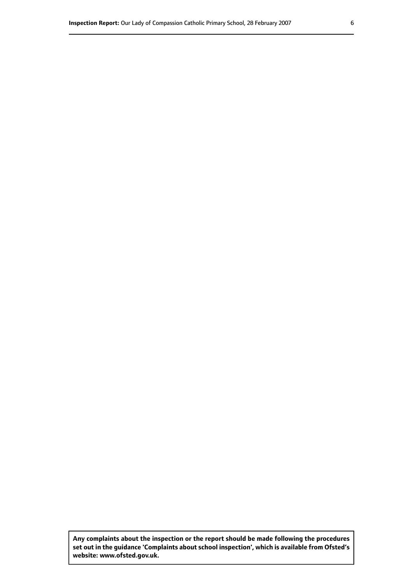**Any complaints about the inspection or the report should be made following the procedures set out in the guidance 'Complaints about school inspection', which is available from Ofsted's website: www.ofsted.gov.uk.**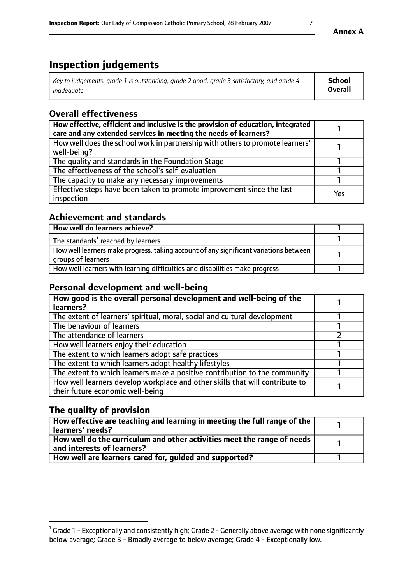# **Inspection judgements**

| Key to judgements: grade 1 is outstanding, grade 2 good, grade 3 satisfactory, and grade 4 | <b>School</b>  |
|--------------------------------------------------------------------------------------------|----------------|
| inadeauate                                                                                 | <b>Overall</b> |

# **Overall effectiveness**

| How effective, efficient and inclusive is the provision of education, integrated<br>care and any extended services in meeting the needs of learners? |     |
|------------------------------------------------------------------------------------------------------------------------------------------------------|-----|
| How well does the school work in partnership with others to promote learners'<br>well-being?                                                         |     |
| The quality and standards in the Foundation Stage                                                                                                    |     |
| The effectiveness of the school's self-evaluation                                                                                                    |     |
| The capacity to make any necessary improvements                                                                                                      |     |
| Effective steps have been taken to promote improvement since the last<br>inspection                                                                  | Yes |

# **Achievement and standards**

| How well do learners achieve?                                                                               |  |
|-------------------------------------------------------------------------------------------------------------|--|
| The standards <sup>1</sup> reached by learners                                                              |  |
| How well learners make progress, taking account of any significant variations between<br>groups of learners |  |
| How well learners with learning difficulties and disabilities make progress                                 |  |

## **Personal development and well-being**

| How good is the overall personal development and well-being of the<br>learners?                                  |  |
|------------------------------------------------------------------------------------------------------------------|--|
| The extent of learners' spiritual, moral, social and cultural development                                        |  |
| The behaviour of learners                                                                                        |  |
| The attendance of learners                                                                                       |  |
| How well learners enjoy their education                                                                          |  |
| The extent to which learners adopt safe practices                                                                |  |
| The extent to which learners adopt healthy lifestyles                                                            |  |
| The extent to which learners make a positive contribution to the community                                       |  |
| How well learners develop workplace and other skills that will contribute to<br>their future economic well-being |  |

# **The quality of provision**

| How effective are teaching and learning in meeting the full range of the<br>  learners' needs?                             |  |
|----------------------------------------------------------------------------------------------------------------------------|--|
| $\mid$ How well do the curriculum and other activities meet the range of needs $\mid$<br>$\mid$ and interests of learners? |  |
| How well are learners cared for, guided and supported?                                                                     |  |

 $1$  Grade 1 - Exceptionally and consistently high; Grade 2 - Generally above average with none significantly below average; Grade 3 - Broadly average to below average; Grade 4 - Exceptionally low.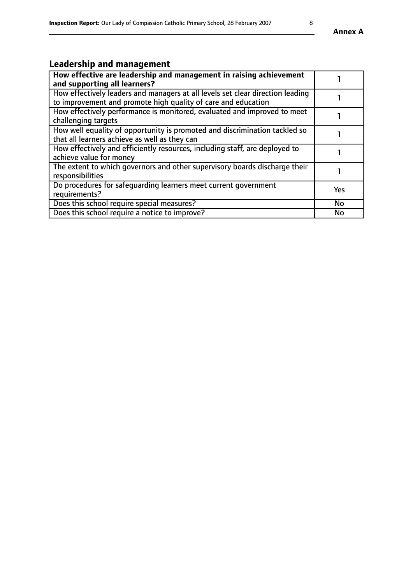# **Leadership and management**

| How effective are leadership and management in raising achievement             |           |
|--------------------------------------------------------------------------------|-----------|
| and supporting all learners?                                                   |           |
| How effectively leaders and managers at all levels set clear direction leading |           |
| to improvement and promote high quality of care and education                  |           |
| How effectively performance is monitored, evaluated and improved to meet       |           |
| challenging targets                                                            |           |
| How well equality of opportunity is promoted and discrimination tackled so     |           |
| that all learners achieve as well as they can                                  |           |
| How effectively and efficiently resources, including staff, are deployed to    |           |
| achieve value for money                                                        |           |
| The extent to which governors and other supervisory boards discharge their     |           |
| responsibilities                                                               |           |
| Do procedures for safequarding learners meet current government                | Yes       |
| requirements?                                                                  |           |
| Does this school require special measures?                                     | No        |
| Does this school require a notice to improve?                                  | <b>No</b> |